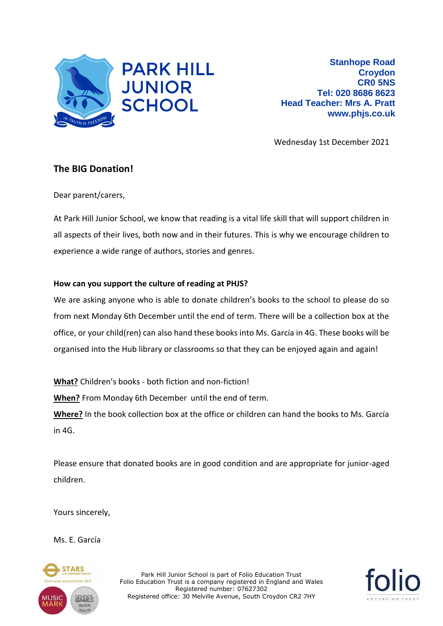

Wednesday 1st December 2021

## **The BIG Donation!**

Dear parent/carers,

At Park Hill Junior School, we know that reading is a vital life skill that will support children in all aspects of their lives, both now and in their futures. This is why we encourage children to experience a wide range of authors, stories and genres.

## **How can you support the culture of reading at PHJS?**

We are asking anyone who is able to donate children's books to the school to please do so from next Monday 6th December until the end of term. There will be a collection box at the office, or your child(ren) can also hand these books into Ms. García in 4G. These books will be organised into the Hub library or classrooms so that they can be enjoyed again and again!

**What?** Children's books - both fiction and non-fiction! **When?** From Monday 6th December until the end of term. **Where?** In the book collection box at the office or children can hand the books to Ms. García in 4G.

Please ensure that donated books are in good condition and are appropriate for junior-aged children.

Yours sincerely,

Ms. E. García



Park Hill Junior School is part of Folio Education Trust Folio Education Trust is a company registered in England and Wales Registered number: 07627302 Registered office: 30 Melville Avenue, South Croydon CR2 7HY